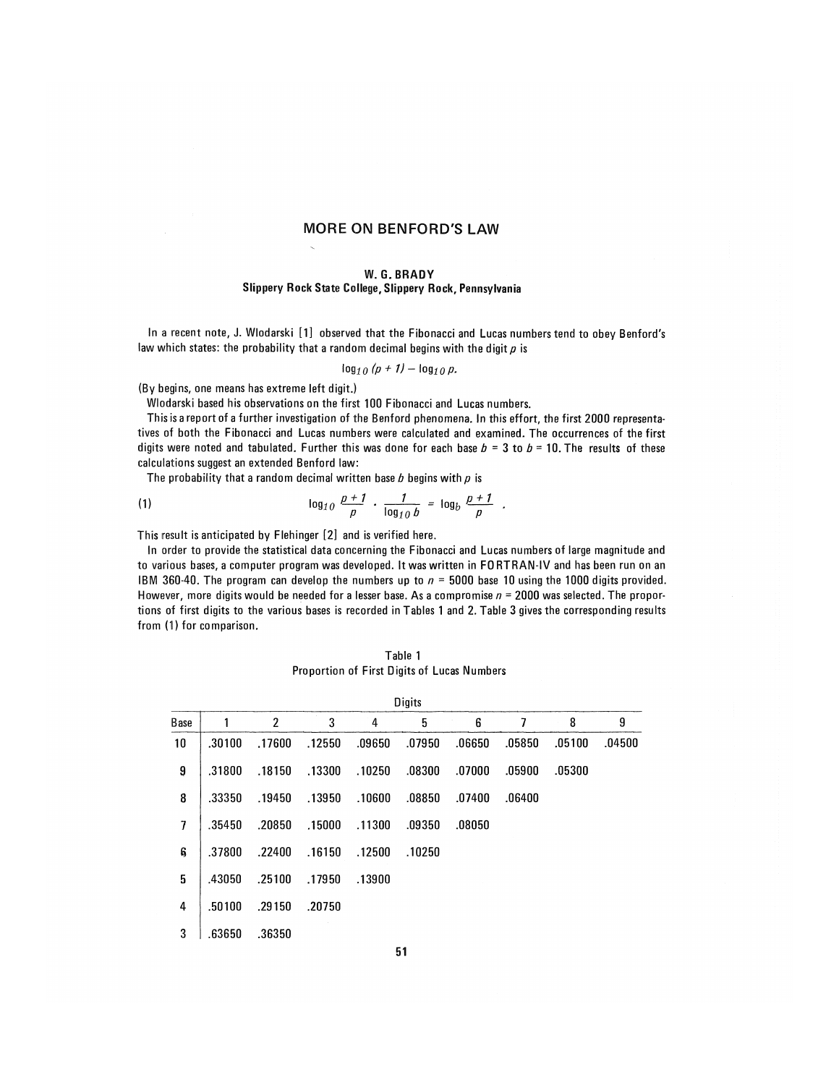### MORE ON BENFORD'S LAW

### **W.G. B R A D Y Slippery Rock State College, Slippery Rock, Pennsylvania**

In a recent note, J. Wiodarski [1] observed that the Fibonacci and Lucas numbers tend to obey Benford's **law which states: the probability that a random decimal begins with the digit p is** 

$$
\log_{10}(p+1)-\log_{10}p.
$$

**(By begins, one means has extreme left digit.)** 

**Wlodarski based his observations on the first 100 Fibonacci and Lucas numbers.** 

This is a report of a further investigation of the Benford phenomena. In this effort, the first 2000 representa**tives of both the Fibonacci and Lucas numbers were calculated and examined. The occurrences of the first**  digits were noted and tabulated. Further this was done for each base  $b = 3$  to  $b = 10$ . The results of these **calculations suggest an extended Benford law:** 

**The probability that a random decimal written base b begins with p is** 

(1) 
$$
\log_{10} \frac{p+1}{p} \cdot \frac{1}{\log_{10} b} = \log_b \frac{p+1}{p}
$$

**This result is anticipated by Flehinger [2] and is verified here.** 

In order to provide the statistical data concerning the Fibonacci and Lucas numbers of large magnitude and to various bases, a computer program was developed. It was written in FORTRAN-IV and has been run on an IBM 360-40. The program can develop the numbers up to  $n = 5000$  base 10 using the 1000 digits provided. However, more digits would be needed for a lesser base. As a compromise  $n = 2000$  was selected. The proportions of first digits to the various bases is recorded in Tables 1 and 2. Table 3 gives the corresponding results **from (1) for comparison.** 

**Table 1 Proportion of First Digits of Lucas Numbers** 

| <b>Digits</b> |        |                |        |        |        |        |        |        |        |  |
|---------------|--------|----------------|--------|--------|--------|--------|--------|--------|--------|--|
| <b>Base</b>   |        | $\overline{2}$ | 3      | 4      | 5      | 6      | 7      | 8      | 9      |  |
| 10            | .30100 | .17600         | .12550 | .09650 | .07950 | .06650 | .05850 | .05100 | .04500 |  |
| 9             | .31800 | .18150         | .13300 | .10250 | .08300 | .07000 | .05900 | .05300 |        |  |
| 8             | .33350 | .19450         | .13950 | .10600 | .08850 | .07400 | .06400 |        |        |  |
| 7             | .35450 | .20850         | .15000 | .11300 | .09350 | .08050 |        |        |        |  |
| 6             | .37800 | .22400         | .16150 | .12500 | .10250 |        |        |        |        |  |
| 5             | .43050 | .25100         | .17950 | .13900 |        |        |        |        |        |  |
| 4             | .50100 | .29150         | .20750 |        |        |        |        |        |        |  |
| 3             | .63650 | .36350         |        |        |        |        |        |        |        |  |